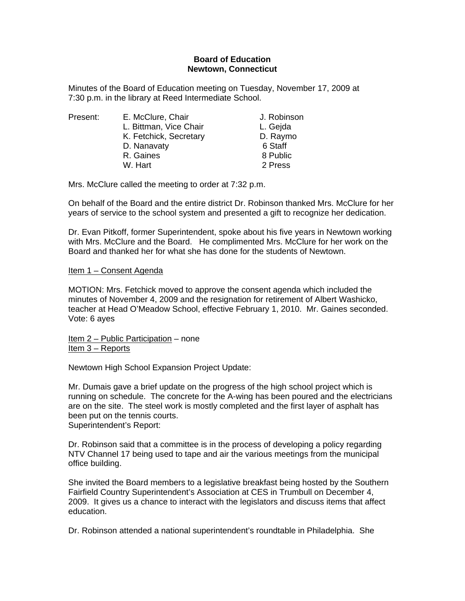## **Board of Education Newtown, Connecticut**

Minutes of the Board of Education meeting on Tuesday, November 17, 2009 at 7:30 p.m. in the library at Reed Intermediate School.

| Present: |
|----------|
|----------|

| Present: | E. McClure, Chair      | J. Robinson |
|----------|------------------------|-------------|
|          | L. Bittman, Vice Chair | L. Gejda    |
|          | K. Fetchick, Secretary | D. Raymo    |
|          | D. Nanavaty            | 6 Staff     |
|          | R. Gaines              | 8 Public    |
|          | W. Hart                | 2 Press     |

Mrs. McClure called the meeting to order at 7:32 p.m.

On behalf of the Board and the entire district Dr. Robinson thanked Mrs. McClure for her years of service to the school system and presented a gift to recognize her dedication.

Dr. Evan Pitkoff, former Superintendent, spoke about his five years in Newtown working with Mrs. McClure and the Board. He complimented Mrs. McClure for her work on the Board and thanked her for what she has done for the students of Newtown.

## Item 1 – Consent Agenda

MOTION: Mrs. Fetchick moved to approve the consent agenda which included the minutes of November 4, 2009 and the resignation for retirement of Albert Washicko, teacher at Head O'Meadow School, effective February 1, 2010. Mr. Gaines seconded. Vote: 6 ayes

Item 2 – Public Participation – none Item 3 – Reports

Newtown High School Expansion Project Update:

Mr. Dumais gave a brief update on the progress of the high school project which is running on schedule. The concrete for the A-wing has been poured and the electricians are on the site. The steel work is mostly completed and the first layer of asphalt has been put on the tennis courts. Superintendent's Report:

Dr. Robinson said that a committee is in the process of developing a policy regarding

NTV Channel 17 being used to tape and air the various meetings from the municipal office building.

She invited the Board members to a legislative breakfast being hosted by the Southern Fairfield Country Superintendent's Association at CES in Trumbull on December 4, 2009. It gives us a chance to interact with the legislators and discuss items that affect education.

Dr. Robinson attended a national superintendent's roundtable in Philadelphia. She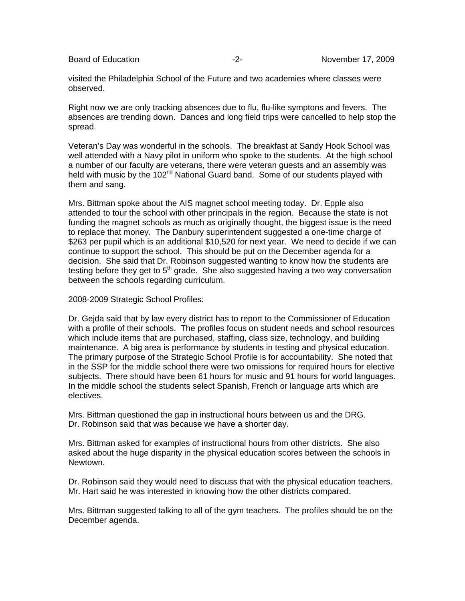visited the Philadelphia School of the Future and two academies where classes were observed.

Right now we are only tracking absences due to flu, flu-like symptons and fevers. The absences are trending down. Dances and long field trips were cancelled to help stop the spread.

Veteran's Day was wonderful in the schools. The breakfast at Sandy Hook School was well attended with a Navy pilot in uniform who spoke to the students. At the high school a number of our faculty are veterans, there were veteran guests and an assembly was held with music by the 102<sup>nd</sup> National Guard band. Some of our students played with them and sang.

Mrs. Bittman spoke about the AIS magnet school meeting today. Dr. Epple also attended to tour the school with other principals in the region. Because the state is not funding the magnet schools as much as originally thought, the biggest issue is the need to replace that money. The Danbury superintendent suggested a one-time charge of \$263 per pupil which is an additional \$10,520 for next year. We need to decide if we can continue to support the school. This should be put on the December agenda for a decision. She said that Dr. Robinson suggested wanting to know how the students are testing before they get to  $5<sup>th</sup>$  grade. She also suggested having a two way conversation between the schools regarding curriculum.

2008-2009 Strategic School Profiles:

Dr. Gejda said that by law every district has to report to the Commissioner of Education with a profile of their schools. The profiles focus on student needs and school resources which include items that are purchased, staffing, class size, technology, and building maintenance. A big area is performance by students in testing and physical education. The primary purpose of the Strategic School Profile is for accountability. She noted that in the SSP for the middle school there were two omissions for required hours for elective subjects. There should have been 61 hours for music and 91 hours for world languages. In the middle school the students select Spanish, French or language arts which are electives.

Mrs. Bittman questioned the gap in instructional hours between us and the DRG. Dr. Robinson said that was because we have a shorter day.

Mrs. Bittman asked for examples of instructional hours from other districts. She also asked about the huge disparity in the physical education scores between the schools in Newtown.

Dr. Robinson said they would need to discuss that with the physical education teachers. Mr. Hart said he was interested in knowing how the other districts compared.

Mrs. Bittman suggested talking to all of the gym teachers. The profiles should be on the December agenda.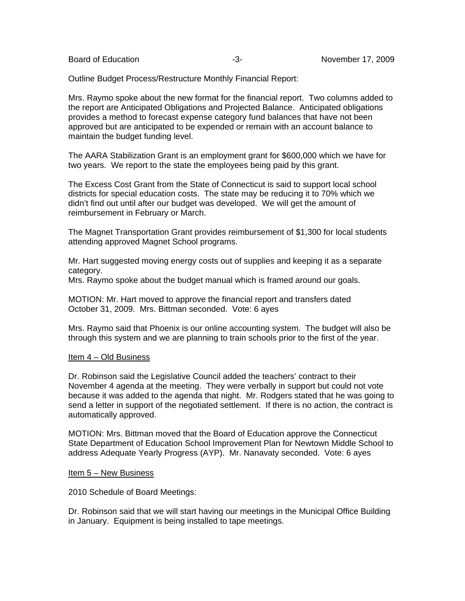Outline Budget Process/Restructure Monthly Financial Report:

Mrs. Raymo spoke about the new format for the financial report. Two columns added to the report are Anticipated Obligations and Projected Balance. Anticipated obligations provides a method to forecast expense category fund balances that have not been approved but are anticipated to be expended or remain with an account balance to maintain the budget funding level.

The AARA Stabilization Grant is an employment grant for \$600,000 which we have for two years. We report to the state the employees being paid by this grant.

The Excess Cost Grant from the State of Connecticut is said to support local school districts for special education costs. The state may be reducing it to 70% which we didn't find out until after our budget was developed. We will get the amount of reimbursement in February or March.

The Magnet Transportation Grant provides reimbursement of \$1,300 for local students attending approved Magnet School programs.

Mr. Hart suggested moving energy costs out of supplies and keeping it as a separate category.

Mrs. Raymo spoke about the budget manual which is framed around our goals.

MOTION: Mr. Hart moved to approve the financial report and transfers dated October 31, 2009. Mrs. Bittman seconded. Vote: 6 ayes

Mrs. Raymo said that Phoenix is our online accounting system. The budget will also be through this system and we are planning to train schools prior to the first of the year.

## Item 4 – Old Business

Dr. Robinson said the Legislative Council added the teachers' contract to their November 4 agenda at the meeting. They were verbally in support but could not vote because it was added to the agenda that night. Mr. Rodgers stated that he was going to send a letter in support of the negotiated settlement. If there is no action, the contract is automatically approved.

MOTION: Mrs. Bittman moved that the Board of Education approve the Connecticut State Department of Education School Improvement Plan for Newtown Middle School to address Adequate Yearly Progress (AYP). Mr. Nanavaty seconded. Vote: 6 ayes

## Item 5 – New Business

2010 Schedule of Board Meetings:

Dr. Robinson said that we will start having our meetings in the Municipal Office Building in January. Equipment is being installed to tape meetings.